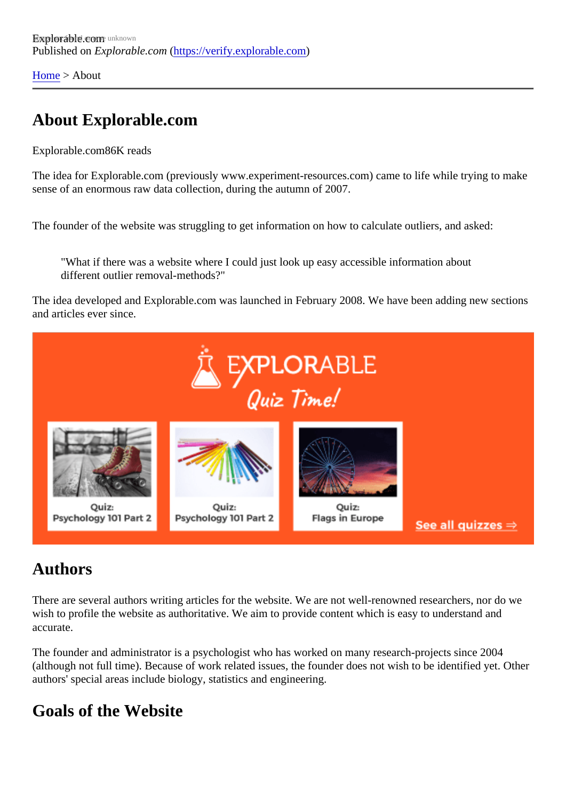[Home](https://verify.explorable.com/) > About

## About Explorable.com

Explorable.cor86K reads

The idea for Explorable.com (previously www.experiment-resources.com) came to life while trying to make sense of an enormous raw data collection, during the autumn of 2007.

The founder of the website was struggling to get information on how to calculate outliers, and asked:

"What if there was a website where I could just look up easy accessible information about different outlier removal-methods?"

The idea developed and Explorable.com was launched in February 2008. We have been adding new sect and articles ever since.

#### Authors

There are several authors writing articles for the website. We are not well-renowned researchers, nor do we wish to profile the website as authoritative. We aim to provide content which is easy to understand and accurate.

The founder and administrator is a psychologist who has worked on many research-projects since 2004 (although not full time). Because of work related issues, the founder does not wish to be identified yet. Other authors' special areas include biology, statistics and engineering.

#### Goals of the Website